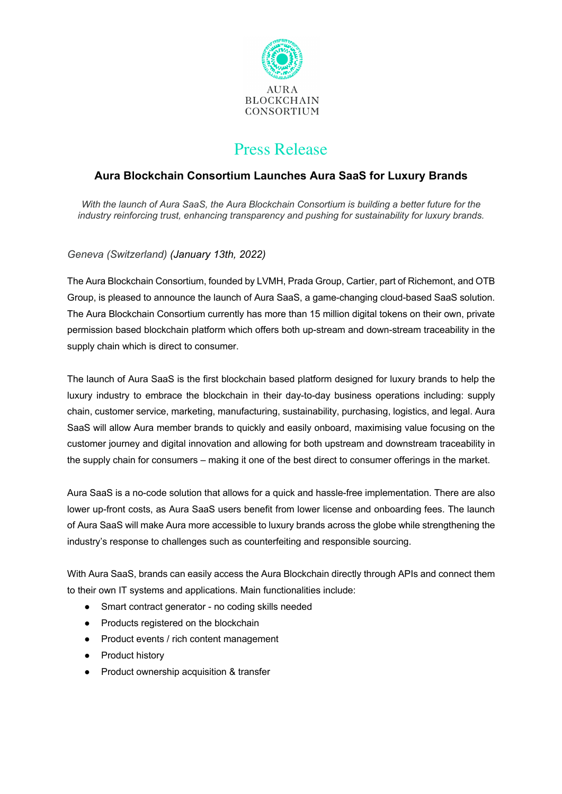

# Press Release

## **Aura Blockchain Consortium Launches Aura SaaS for Luxury Brands**

*With the launch of Aura SaaS, the Aura Blockchain Consortium is building a better future for the industry reinforcing trust, enhancing transparency and pushing for sustainability for luxury brands.* 

### *Geneva (Switzerland) (January 13th, 2022)*

The Aura Blockchain Consortium, founded by LVMH, Prada Group, Cartier, part of Richemont, and OTB Group, is pleased to announce the launch of Aura SaaS, a game-changing cloud-based SaaS solution. The Aura Blockchain Consortium currently has more than 15 million digital tokens on their own, private permission based blockchain platform which offers both up-stream and down-stream traceability in the supply chain which is direct to consumer.

The launch of Aura SaaS is the first blockchain based platform designed for luxury brands to help the luxury industry to embrace the blockchain in their day-to-day business operations including: supply chain, customer service, marketing, manufacturing, sustainability, purchasing, logistics, and legal. Aura SaaS will allow Aura member brands to quickly and easily onboard, maximising value focusing on the customer journey and digital innovation and allowing for both upstream and downstream traceability in the supply chain for consumers – making it one of the best direct to consumer offerings in the market.

Aura SaaS is a no-code solution that allows for a quick and hassle-free implementation. There are also lower up-front costs, as Aura SaaS users benefit from lower license and onboarding fees. The launch of Aura SaaS will make Aura more accessible to luxury brands across the globe while strengthening the industry's response to challenges such as counterfeiting and responsible sourcing.

With Aura SaaS, brands can easily access the Aura Blockchain directly through APIs and connect them to their own IT systems and applications. Main functionalities include:

- Smart contract generator no coding skills needed
- Products registered on the blockchain
- Product events / rich content management
- Product history
- Product ownership acquisition & transfer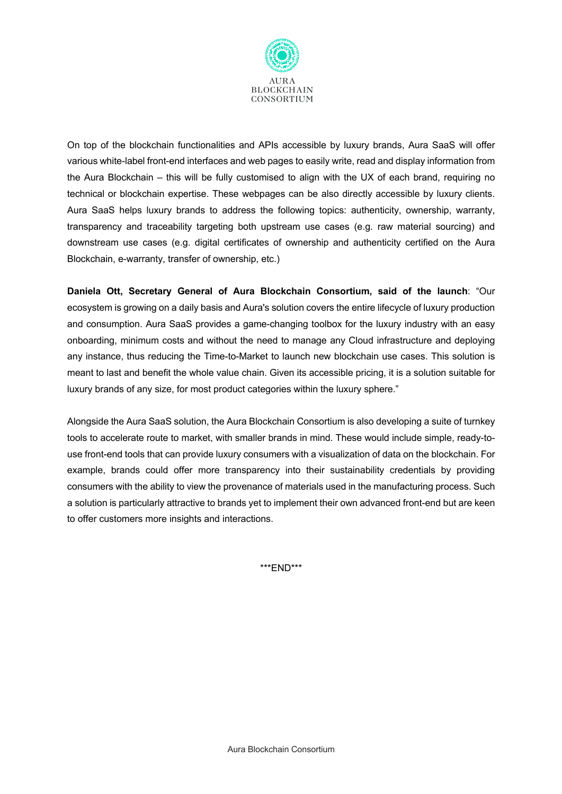

On top of the blockchain functionalities and APIs accessible by luxury brands, Aura SaaS will offer various white-label front-end interfaces and web pages to easily write, read and display information from the Aura Blockchain – this will be fully customised to align with the UX of each brand, requiring no technical or blockchain expertise. These webpages can be also directly accessible by luxury clients. Aura SaaS helps luxury brands to address the following topics: authenticity, ownership, warranty, transparency and traceability targeting both upstream use cases (e.g. raw material sourcing) and downstream use cases (e.g. digital certificates of ownership and authenticity certified on the Aura Blockchain, e-warranty, transfer of ownership, etc.)

**Daniela Ott, Secretary General of Aura Blockchain Consortium, said of the launch**: "Our ecosystem is growing on a daily basis and Aura's solution covers the entire lifecycle of luxury production and consumption. Aura SaaS provides a game-changing toolbox for the luxury industry with an easy onboarding, minimum costs and without the need to manage any Cloud infrastructure and deploying any instance, thus reducing the Time-to-Market to launch new blockchain use cases. This solution is meant to last and benefit the whole value chain. Given its accessible pricing, it is a solution suitable for luxury brands of any size, for most product categories within the luxury sphere."

Alongside the Aura SaaS solution, the Aura Blockchain Consortium is also developing a suite of turnkey tools to accelerate route to market, with smaller brands in mind. These would include simple, ready-touse front-end tools that can provide luxury consumers with a visualization of data on the blockchain. For example, brands could offer more transparency into their sustainability credentials by providing consumers with the ability to view the provenance of materials used in the manufacturing process. Such a solution is particularly attractive to brands yet to implement their own advanced front-end but are keen to offer customers more insights and interactions.

\*\*\*END\*\*\*